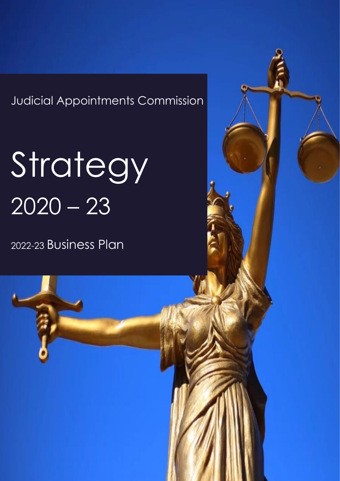Judicial Appointments Commission

# Strategy  $2020 - 23$

2022-23 Business Plan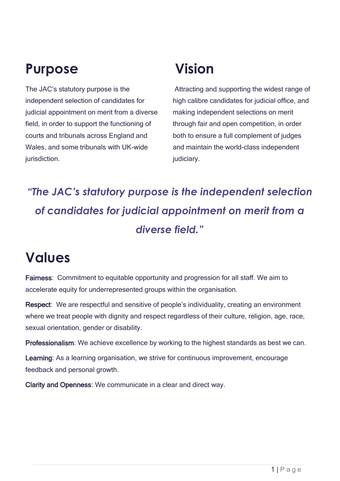### **Purpose**

The JAC's statutory purpose is the independent selection of candidates for judicial appointment on merit from a diverse field, in order to support the functioning of courts and tribunals across England and Wales, and some tribunals with UK-wide jurisdiction.

### **Vision**

Attracting and supporting the widest range of high calibre candidates for judicial office, and making independent selections on merit through fair and open competition, in order both to ensure a full complement of judges and maintain the world-class independent judiciary.

### *"The JAC's statutory purpose is the independent selection of candidates for judicial appointment on merit from a diverse field."*

### **Values**

Fairness: Commitment to equitable opportunity and progression for all staff. We aim to accelerate equity for underrepresented groups within the organisation.

Respect: We are respectful and sensitive of people's individuality, creating an environment where we treat people with dignity and respect regardless of their culture, religion, age, race, sexual orientation, gender or disability.

Professionalism: We achieve excellence by working to the highest standards as best we can.

Learning: As a learning organisation, we strive for continuous improvement, encourage feedback and personal growth.

Clarity and Openness: We communicate in a clear and direct way.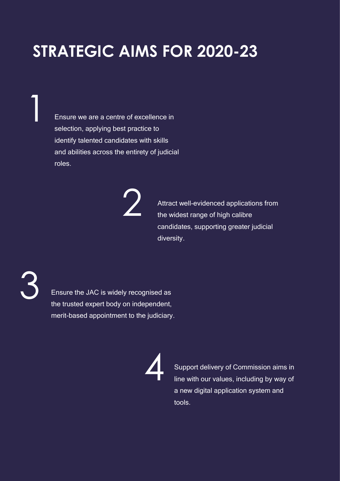### **STRATEGIC AIMS FOR 2020-23**

Ensure we are a centre of excellence in selection, applying best practice to identify talented candidates with skills and abilities across the entirety of judicial roles.

2

Attract well-evidenced applications from the widest range of high calibre candidates, supporting greater judicial diversity.

3

1

Ensure the JAC is widely recognised as the trusted expert body on independent, merit-based appointment to the judiciary.

4

Support delivery of Commission aims in line with our values, including by way of a new digital application system and tools.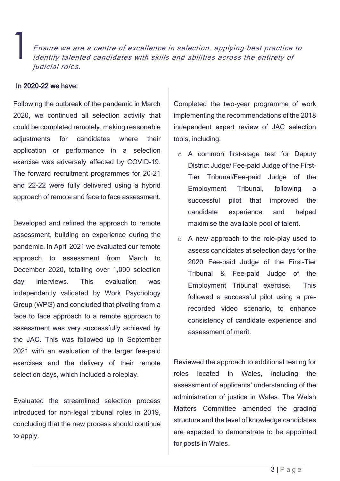Ensure we are a centre of excellence in selection, applying best practice to identify talented candidates with skills and abilities across the entirety of judicial roles.

#### In 2020-22 we have:

1

Following the outbreak of the pandemic in March 2020, we continued all selection activity that could be completed remotely, making reasonable adiustments for candidates where their application or performance in a selection exercise was adversely affected by COVID-19. The forward recruitment programmes for 20-21 and 22-22 were fully delivered using a hybrid approach of remote and face to face assessment.

Developed and refined the approach to remote assessment, building on experience during the pandemic. In April 2021 we evaluated our remote approach to assessment from March to December 2020, totalling over 1,000 selection day interviews. This evaluation was independently validated by Work Psychology Group (WPG) and concluded that pivoting from a face to face approach to a remote approach to assessment was very successfully achieved by the JAC. This was followed up in September 2021 with an evaluation of the larger fee-paid exercises and the delivery of their remote selection days, which included a roleplay.

Evaluated the streamlined selection process introduced for non-legal tribunal roles in 2019, concluding that the new process should continue to apply.

Completed the two-year programme of work implementing the recommendations of the 2018 independent expert review of JAC selection tools, including:

- o A common first-stage test for Deputy District Judge/ Fee-paid Judge of the First-Tier Tribunal/Fee-paid Judge of the Employment Tribunal, following a successful pilot that improved the candidate experience and helped maximise the available pool of talent.
- o A new approach to the role-play used to assess candidates at selection days for the 2020 Fee-paid Judge of the First-Tier Tribunal & Fee-paid Judge of the Employment Tribunal exercise. This followed a successful pilot using a prerecorded video scenario, to enhance consistency of candidate experience and assessment of merit.

Reviewed the approach to additional testing for roles located in Wales, including the assessment of applicants' understanding of the administration of justice in Wales. The Welsh Matters Committee amended the grading structure and the level of knowledge candidates are expected to demonstrate to be appointed for posts in Wales.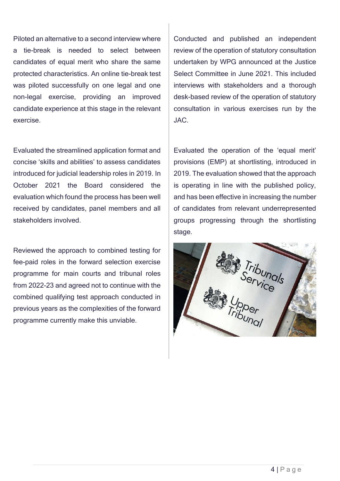Piloted an alternative to a second interview where a tie-break is needed to select between candidates of equal merit who share the same protected characteristics. An online tie-break test was piloted successfully on one legal and one non-legal exercise, providing an improved candidate experience at this stage in the relevant exercise.

Evaluated the streamlined application format and concise 'skills and abilities' to assess candidates introduced for judicial leadership roles in 2019. In October 2021 the Board considered the evaluation which found the process has been well received by candidates, panel members and all stakeholders involved.

Reviewed the approach to combined testing for fee-paid roles in the forward selection exercise programme for main courts and tribunal roles from 2022-23 and agreed not to continue with the combined qualifying test approach conducted in previous years as the complexities of the forward programme currently make this unviable.

Conducted and published an independent review of the operation of statutory consultation undertaken by WPG announced at the Justice Select Committee in June 2021. This included interviews with stakeholders and a thorough desk-based review of the operation of statutory consultation in various exercises run by the JAC.

Evaluated the operation of the 'equal merit' provisions (EMP) at shortlisting, introduced in 2019. The evaluation showed that the approach is operating in line with the published policy, and has been effective in increasing the number of candidates from relevant underrepresented groups progressing through the shortlisting stage.

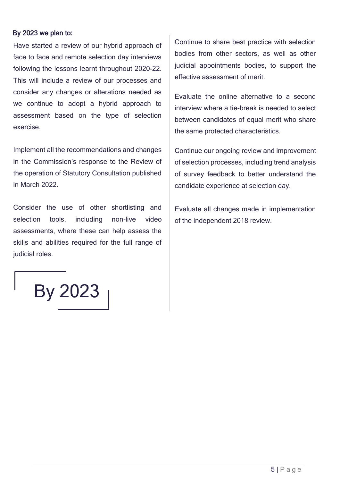#### By 2023 we plan to:

Have started a review of our hybrid approach of face to face and remote selection day interviews following the lessons learnt throughout 2020-22. This will include a review of our processes and consider any changes or alterations needed as we continue to adopt a hybrid approach to assessment based on the type of selection exercise.

Implement all the recommendations and changes in the Commission's response to the Review of the operation of Statutory Consultation published in March 2022.

Consider the use of other shortlisting and selection tools, including non-live video assessments, where these can help assess the skills and abilities required for the full range of judicial roles.

Continue to share best practice with selection bodies from other sectors, as well as other judicial appointments bodies, to support the effective assessment of merit.

Evaluate the online alternative to a second interview where a tie-break is needed to select between candidates of equal merit who share the same protected characteristics.

Continue our ongoing review and improvement of selection processes, including trend analysis of survey feedback to better understand the candidate experience at selection day.

Evaluate all changes made in implementation of the independent 2018 review.

By 2023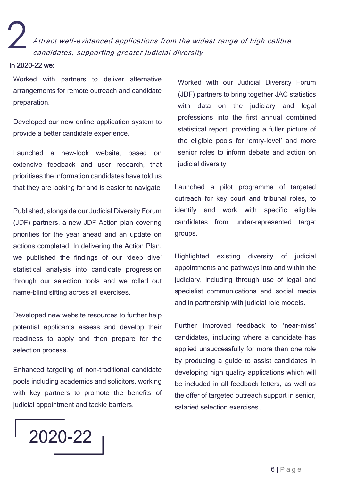Attract well-evidenced applications from the widest range of high calibre candidates, supporting greater judicial diversity

#### In 2020-22 we:

2

Worked with partners to deliver alternative arrangements for remote outreach and candidate preparation.

Developed our new online application system to provide a better candidate experience.

Launched a new-look website, based on extensive feedback and user research, that prioritises the information candidates have told us that they are looking for and is easier to navigate

Published, alongside our Judicial Diversity Forum (JDF) partners, a new JDF Action plan covering priorities for the year ahead and an update on actions completed. In delivering the Action Plan, we published the findings of our 'deep dive' statistical analysis into candidate progression through our selection tools and we rolled out name-blind sifting across all exercises.

Developed new website resources to further help potential applicants assess and develop their readiness to apply and then prepare for the selection process.

Enhanced targeting of non-traditional candidate pools including academics and solicitors, working with key partners to promote the benefits of judicial appointment and tackle barriers.

Worked with our Judicial Diversity Forum (JDF) partners to bring together JAC statistics with data on the judiciary and legal professions into the first annual combined statistical report, providing a fuller picture of the eligible pools for 'entry-level' and more senior roles to inform debate and action on judicial diversity

Launched a pilot programme of targeted outreach for key court and tribunal roles, to identify and work with specific eligible candidates from under-represented target groups.

Highlighted existing diversity of judicial appointments and pathways into and within the judiciary, including through use of legal and specialist communications and social media and in partnership with judicial role models.

Further improved feedback to 'near-miss' candidates, including where a candidate has applied unsuccessfully for more than one role by producing a guide to assist candidates in developing high quality applications which will be included in all feedback letters, as well as the offer of targeted outreach support in senior, salaried selection exercises.

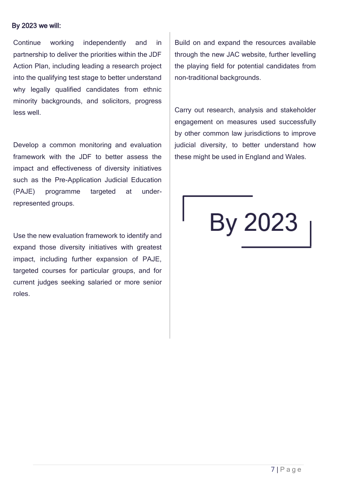#### By 2023 we will:

Continue working independently and in partnership to deliver the priorities within the JDF Action Plan, including leading a research project into the qualifying test stage to better understand why legally qualified candidates from ethnic minority backgrounds, and solicitors, progress less well.

Develop a common monitoring and evaluation framework with the JDF to better assess the impact and effectiveness of diversity initiatives such as the Pre-Application Judicial Education (PAJE) programme targeted at underrepresented groups.

Use the new evaluation framework to identify and expand those diversity initiatives with greatest impact, including further expansion of PAJE, targeted courses for particular groups, and for current judges seeking salaried or more senior roles.

Build on and expand the resources available through the new JAC website, further levelling the playing field for potential candidates from non-traditional backgrounds.

Carry out research, analysis and stakeholder engagement on measures used successfully by other common law jurisdictions to improve judicial diversity, to better understand how these might be used in England and Wales.

## By 2023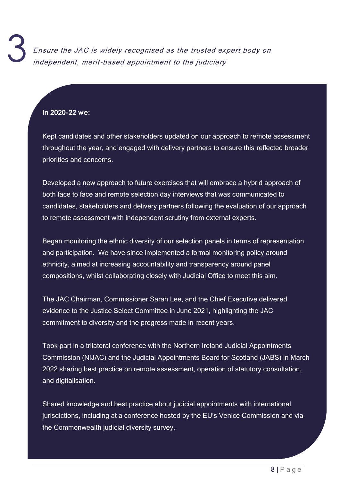#### **In 2020-22 we:**

Kept candidates and other stakeholders updated on our approach to remote assessment throughout the year, and engaged with delivery partners to ensure this reflected broader priorities and concerns.

Developed a new approach to future exercises that will embrace a hybrid approach of both face to face and remote selection day interviews that was communicated to candidates, stakeholders and delivery partners following the evaluation of our approach to remote assessment with independent scrutiny from external experts.

Began monitoring the ethnic diversity of our selection panels in terms of representation and participation. We have since implemented a formal monitoring policy around ethnicity, aimed at increasing accountability and transparency around panel compositions, whilst collaborating closely with Judicial Office to meet this aim.

The JAC Chairman, Commissioner Sarah Lee, and the Chief Executive delivered evidence to the Justice Select Committee in June 2021, highlighting the JAC commitment to diversity and the progress made in recent years.

Took part in a trilateral conference with the Northern Ireland Judicial Appointments Commission (NIJAC) and the Judicial Appointments Board for Scotland (JABS) in March 2022 sharing best practice on remote assessment, operation of statutory consultation, and digitalisation.

Shared knowledge and best practice about judicial appointments with international jurisdictions, including at a conference hosted by the EU's Venice Commission and via the Commonwealth judicial diversity survey.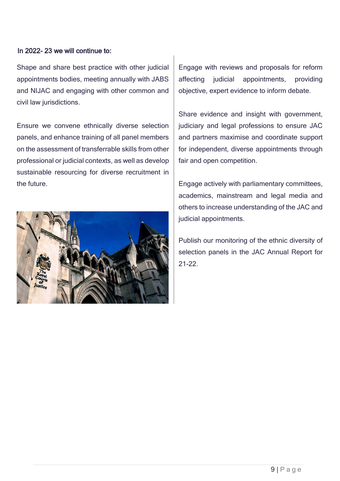#### In 2022- 23 we will continue to:

Shape and share best practice with other judicial appointments bodies, meeting annually with JABS and NIJAC and engaging with other common and civil law jurisdictions.

Ensure we convene ethnically diverse selection panels, and enhance training of all panel members on the assessment of transferrable skills from other professional or judicial contexts, as well as develop sustainable resourcing for diverse recruitment in the future.



Engage with reviews and proposals for reform affecting judicial appointments, providing objective, expert evidence to inform debate.

Share evidence and insight with government, judiciary and legal professions to ensure JAC and partners maximise and coordinate support for independent, diverse appointments through fair and open competition.

Engage actively with parliamentary committees, academics, mainstream and legal media and others to increase understanding of the JAC and judicial appointments.

Publish our monitoring of the ethnic diversity of selection panels in the JAC Annual Report for 21-22.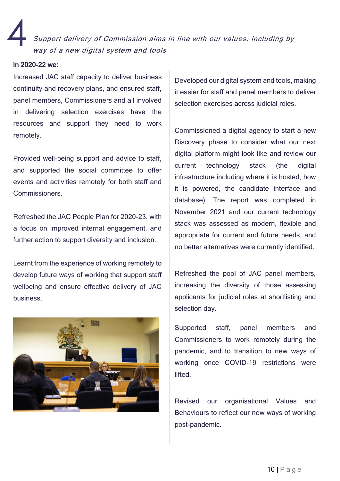Support delivery of Commission aims in line with our values, including by way of a new digital system and tools 4

#### In 2020-22 we:

Increased JAC staff capacity to deliver business continuity and recovery plans, and ensured staff, panel members, Commissioners and all involved in delivering selection exercises have the resources and support they need to work remotely. cont<br>pane<br>in (

Provided well-being support and advice to staff, and supported the social committee to offer events and activities remotely for both staff and Commissioners.

Refreshed the JAC People Plan for 2020-23, with a focus on improved internal engagement, and further action to support diversity and inclusion.

Learnt from the experience of working remotely to develop future ways of working that support staff wellbeing and ensure effective delivery of JAC business.



Developed our digital system and tools, making it easier for staff and panel members to deliver selection exercises across judicial roles.

Commissioned a digital agency to start a new Discovery phase to consider what our next digital platform might look like and review our current technology stack (the digital infrastructure including where it is hosted, how it is powered, the candidate interface and database). The report was completed in November 2021 and our current technology stack was assessed as modern, flexible and appropriate for current and future needs, and no better alternatives were currently identified.

Refreshed the pool of JAC panel members, increasing the diversity of those assessing applicants for judicial roles at shortlisting and selection day.

Supported staff, panel members and Commissioners to work remotely during the pandemic, and to transition to new ways of working once COVID-19 restrictions were lifted.

Revised our organisational Values and Behaviours to reflect our new ways of working post-pandemic.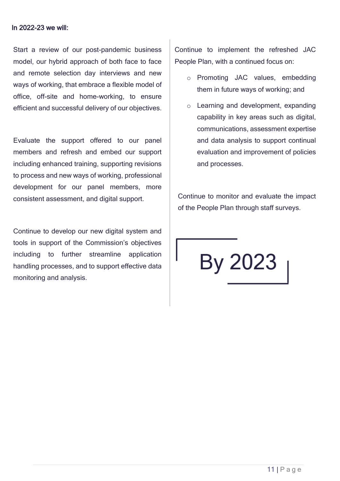#### In 2022-23 we will:

Start a review of our post-pandemic business model, our hybrid approach of both face to face and remote selection day interviews and new ways of working, that embrace a flexible model of office, off-site and home-working, to ensure efficient and successful delivery of our objectives.

Evaluate the support offered to our panel members and refresh and embed our support including enhanced training, supporting revisions to process and new ways of working, professional development for our panel members, more consistent assessment, and digital support.

Continue to develop our new digital system and tools in support of the Commission's objectives including to further streamline application handling processes, and to support effective data monitoring and analysis.

Continue to implement the refreshed JAC People Plan, with a continued focus on:

- o Promoting JAC values, embedding them in future ways of working; and
- o Learning and development, expanding capability in key areas such as digital, communications, assessment expertise and data analysis to support continual evaluation and improvement of policies and processes.

Continue to monitor and evaluate the impact of the People Plan through staff surveys.

By 2023